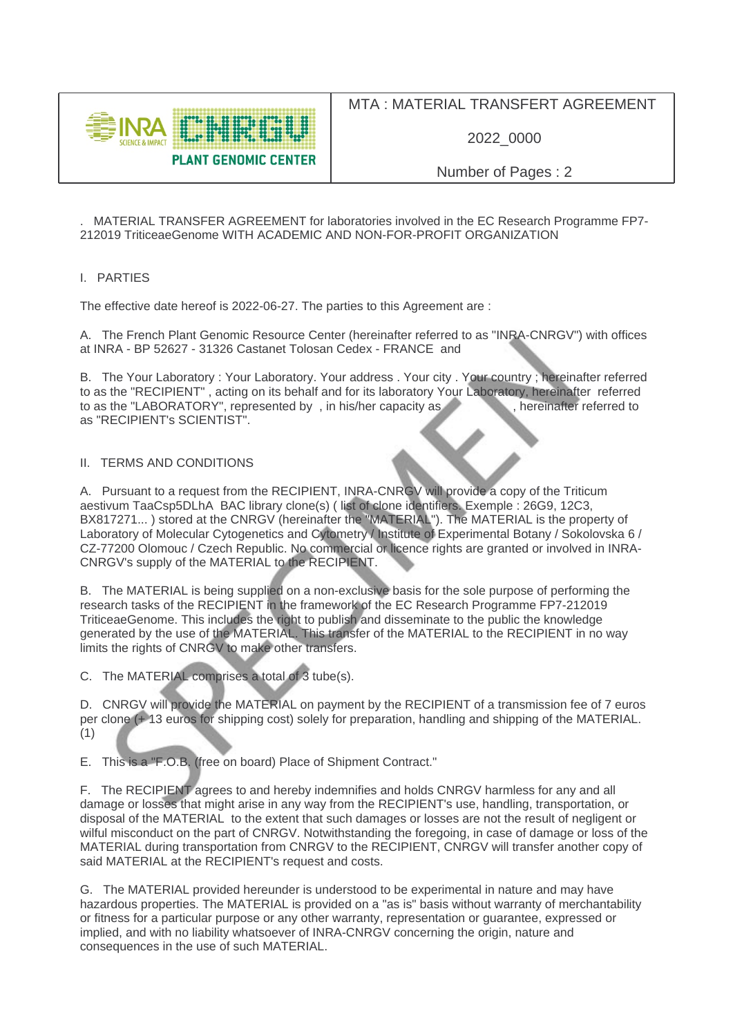

## MTA : MATERIAL TRANSFERT AGREEMENT

2022\_0000

Number of Pages : 2

. MATERIAL TRANSFER AGREEMENT for laboratories involved in the EC Research Programme FP7- 212019 TriticeaeGenome WITH ACADEMIC AND NON-FOR-PROFIT ORGANIZATION

## I. PARTIES

The effective date hereof is 2022-06-27. The parties to this Agreement are :

A. The French Plant Genomic Resource Center (hereinafter referred to as "INRA-CNRGV") with offices at INRA - BP 52627 - 31326 Castanet Tolosan Cedex - FRANCE and

B. The Your Laboratory : Your Laboratory. Your address . Your city . Your country ; hereinafter referred to as the "RECIPIENT", acting on its behalf and for its laboratory Your Laboratory, hereinafter referred to as the "LABORATORY", represented by, in his/her capacity as to as the "LABORATORY", represented by, in his/her capacity as as "RECIPIENT's SCIENTIST".

## II. TERMS AND CONDITIONS

A. Pursuant to a request from the RECIPIENT, INRA-CNRGV will provide a copy of the Triticum aestivum TaaCsp5DLhA BAC library clone(s) ( list of clone identifiers. Exemple : 26G9, 12C3, BX817271... ) stored at the CNRGV (hereinafter the "MATERIAL"). The MATERIAL is the property of Laboratory of Molecular Cytogenetics and Cytometry / Institute of Experimental Botany / Sokolovska 6 / CZ-77200 Olomouc / Czech Republic. No commercial or licence rights are granted or involved in INRA-CNRGV's supply of the MATERIAL to the RECIPIENT.

B. The MATERIAL is being supplied on a non-exclusive basis for the sole purpose of performing the research tasks of the RECIPIENT in the framework of the EC Research Programme FP7-212019 TriticeaeGenome. This includes the right to publish and disseminate to the public the knowledge generated by the use of the MATERIAL. This transfer of the MATERIAL to the RECIPIENT in no way limits the rights of CNRGV to make other transfers.

C. The MATERIAL comprises a total of 3 tube(s).

D. CNRGV will provide the MATERIAL on payment by the RECIPIENT of a transmission fee of 7 euros per clone (+ 13 euros for shipping cost) solely for preparation, handling and shipping of the MATERIAL. (1)

E. This is a "F.O.B. (free on board) Place of Shipment Contract."

F. The RECIPIENT agrees to and hereby indemnifies and holds CNRGV harmless for any and all damage or losses that might arise in any way from the RECIPIENT's use, handling, transportation, or disposal of the MATERIAL to the extent that such damages or losses are not the result of negligent or wilful misconduct on the part of CNRGV. Notwithstanding the foregoing, in case of damage or loss of the MATERIAL during transportation from CNRGV to the RECIPIENT, CNRGV will transfer another copy of said MATERIAL at the RECIPIENT's request and costs.

G. The MATERIAL provided hereunder is understood to be experimental in nature and may have hazardous properties. The MATERIAL is provided on a "as is" basis without warranty of merchantability or fitness for a particular purpose or any other warranty, representation or guarantee, expressed or implied, and with no liability whatsoever of INRA-CNRGV concerning the origin, nature and consequences in the use of such MATERIAL.